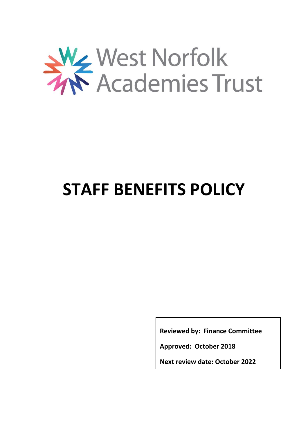

# **STAFF BENEFITS POLICY**

**Reviewed by: Finance Committee**

**Approved: October 2018**

**Next review date: October 2022**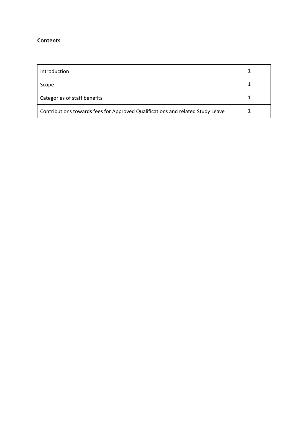#### **Contents**

| Introduction                                                                   |  |
|--------------------------------------------------------------------------------|--|
| Scope                                                                          |  |
| Categories of staff benefits                                                   |  |
| Contributions towards fees for Approved Qualifications and related Study Leave |  |